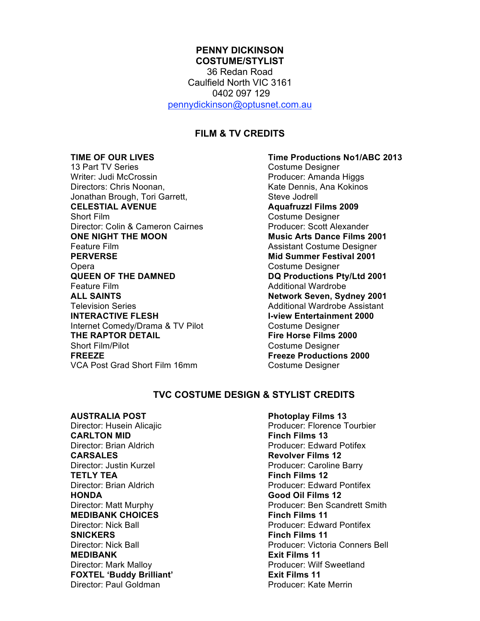# **PENNY DICKINSON**

**COSTUME/STYLIST** 36 Redan Road Caulfield North VIC 3161 0402 097 129 pennydickinson@optusnet.com.au

## **FILM & TV CREDITS**

13 Part TV Series **Costume Designer** Writer: Judi McCrossin **National Amanda Higgs** Producer: Amanda Higgs Directors: Chris Noonan, The Christian Communist Christian Mate Dennis, Ana Kokinos Jonathan Brough, Tori Garrett, Steve Jodrell **CELESTIAL AVENUE** Aquafruzzl Films 2009 Short Film Costume Designer Director: Colin & Cameron Cairnes **Producer: Scott Alexander ONE NIGHT THE MOON Music Arts Dance Films 2001** Feature Film **Assistant Costume Designer Feature Properties PERVERSE Mid Summer Festival 2001** Opera Costume Designer **QUEEN OF THE DAMNED DQ Productions Pty/Ltd 2001** Feature Film **Additional Wardrobe Feature Film ALL SAINTS Network Seven, Sydney 2001** Television Series **Additional Wardrobe Assistant INTERACTIVE FLESH INTERACTIVE FLESH I-view Entertainment 2000** Internet Comedy/Drama & TV Pilot Costume Designer **THE RAPTOR DETAIL Fire Horse Films 2000** Short Film/Pilot **Costume Designer FREEZE Freeze Productions 2000** VCA Post Grad Short Film 16mm Costume Designer

**TIME OF OUR LIVES Time Productions No1/ABC 2013**

## **TVC COSTUME DESIGN & STYLIST CREDITS**

**AUSTRALIA POST Photoplay Films 13 CARLTON MID Finch Films 13** Director: Brian Aldrich **Producer: Edward Potifex CARSALES Revolver Films 12** Director: Justin Kurzel **Producer: Caroline Barry TETLY TEA Finch Films 12 HONDA Good Oil Films 12 MEDIBANK CHOICES Finch Films 11 SNICKERS Finch Films 11 MEDIBANK Exit Films 11** Director: Mark Malloy **Producer: Wilf Sweetland FOXTEL 'Buddy Brilliant' Exit Films 11** Director: Paul Goldman Producer: Kate Merrin

Director: Husein Alicajic **Producer: Florence Tourbier** Producer: Florence Tourbier Director: Brian Aldrich **Producer: Edward Pontifex** Director: Matt Murphy Producer: Ben Scandrett Smith Director: Nick Ball **Producer: Edward Pontifex** Director: Nick Ball Producer: Victoria Conners Bell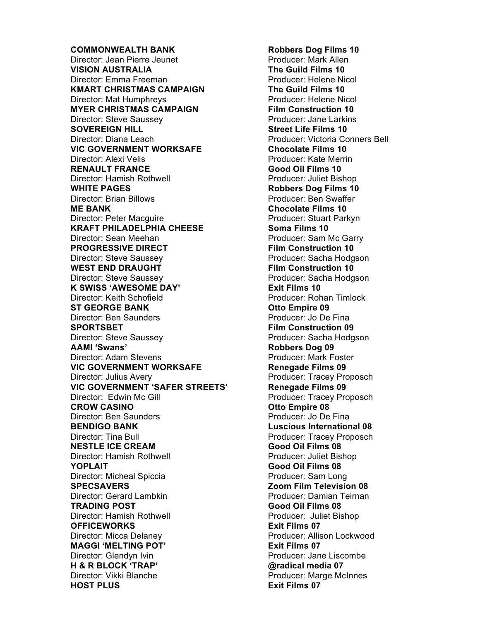**COMMONWEALTH BANK Robbers Dog Films 10** Director: Jean Pierre Jeunet **Producer: Mark Allen VISION AUSTRALIA The Guild Films 10** Director: Emma Freeman **Producer: Helene Nicol** Producer: Helene Nicol **KMART CHRISTMAS CAMPAIGN The Guild Films 10** Director: Mat Humphreys **Producer: Helene Nicol MYER CHRISTMAS CAMPAIGN Film Construction 10** Director: Steve Saussey **Producer: Jane Larkins SOVEREIGN HILL Street Life Films 10** Director: Diana Leach Producer: Victoria Conners Bell **VIC GOVERNMENT WORKSAFE Chocolate Films 10** Director: Alexi Velis Producer: Kate Merrin **RENAULT FRANCE Good Oil Films 10** Director: Hamish Rothwell Producer: Juliet Bishop **WHITE PAGES Robbers Dog Films 10** Director: Brian Billows Producer: Ben Swaffer **ME BANK Chocolate Films 10** Director: Peter Macguire **Producer: Stuart Parkyn KRAFT PHILADELPHIA CHEESE Soma Films 10** Director: Sean Meehan **Producer: Sam Mc Garry PROGRESSIVE DIRECT** Film Construction 10 Director: Steve Saussey Producer: Sacha Hodgson **WEST END DRAUGHT Film Construction 10** Director: Steve Saussey Producer: Sacha Hodgson **K SWISS 'AWESOME DAY' Exit Films 10** Director: Keith Schofield Producer: Rohan Timlock **ST GEORGE BANK Otto Empire 09** Director: Ben Saunders **Producer: Jo De Fina SPORTSBET Film Construction 09** Director: Steve Saussey Producer: Sacha Hodgson AAMI 'Swans' **Robbers** Dog 09 Director: Adam Stevens **Producer: Mark Foster** Producer: Mark Foster **VIC GOVERNMENT WORKSAFE Renegade Films 09** Director: Julius Avery **Producer: Tracey Proposch VIC GOVERNMENT 'SAFER STREETS' Renegade Films 09** Director: Edwin Mc Gill **Producer: Tracey Proposch CROW CASINO Otto Empire 08** Director: Ben Saunders **Producer: Jo De Fina BENDIGO BANK Luscious International 08** Director: Tina Bull **Producer: Tracey Proposch NESTLE ICE CREAM Good Oil Films 08** Director: Hamish Rothwell Producer: Juliet Bishop **YOPLAIT Good Oil Films 08** Director: Micheal Spiccia **Producer: Sam Long SPECSAVERS Zoom Film Television 08** Director: Gerard Lambkin Producer: Damian Teirnan **TRADING POST Good Oil Films 08** Director: Hamish Rothwell Producer: Juliet Bishop **OFFICEWORKS Exit Films 07** Director: Micca Delaney Producer: Allison Lockwood **MAGGI 'MELTING POT' Exit Films 07** Director: Glendyn Ivin **Producer:** Producer: Jane Liscombe **H & R BLOCK 'TRAP' @radical media 07** Director: Vikki Blanche Producer: Marge McInnes **HOST PLUS Exit Films 07**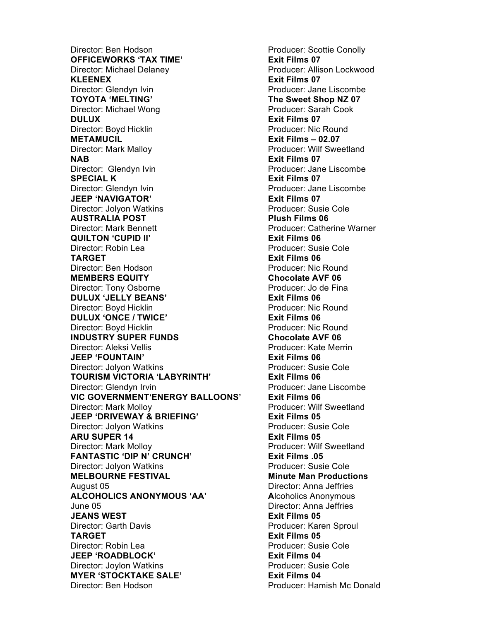Director: Ben Hodson **Producer: Scottie Conolly OFFICEWORKS 'TAX TIME' Exit Films 07** Director: Michael Delaney **Producer: Allison Lockwood KLEENEX Exit Films 07** Director: Glendyn Ivin **Producer:** Jane Liscombe **TOYOTA 'MELTING' The Sweet Shop NZ 07** Director: Michael Wong **Producer: Sarah Cook** Producer: Sarah Cook **DULUX** Exit Films 07 Director: Boyd Hicklin **Producer: Nic Round METAMUCIL Exit Films – 02.07** Director: Mark Malloy **Producer: Wilf Sweetland NAB Exit Films 07** Director: Glendyn Ivin **Producer:** Jane Liscombe **SPECIAL K Exit Films 07** Director: Glendyn Ivin **Producer: Jane Liscombe JEEP 'NAVIGATOR' Exit Films 07** Director: Jolyon Watkins Producer: Susie Cole **AUSTRALIA POST Plush Films 06** Director: Mark Bennett Producer: Catherine Warner **QUILTON 'CUPID II' Exit Films 06** Director: Robin Lea **Producer: Susie Cole** Producer: Susie Cole **TARGET Exit Films 06** Director: Ben Hodson Producer: Nic Round **MEMBERS EQUITY Chocolate AVF 06** Director: Tony Osborne **Producer:** Jo de Fina **DULUX 'JELLY BEANS' Exit Films 06** Director: Boyd Hicklin Producer: Nic Round **DULUX 'ONCE / TWICE' Exit Films 06** Director: Boyd Hicklin **Producer: Nic Round** Producer: Nic Round **INDUSTRY SUPER FUNDS Chocolate AVF 06** Director: Aleksi Vellis **Producer: Kate Merrin JEEP 'FOUNTAIN' Exit Films 06** Director: Jolyon Watkins Producer: Susie Cole **TOURISM VICTORIA 'LABYRINTH' Exit Films 06** Director: Glendyn Irvin **Producer: Jane Liscombe** Producer: Jane Liscombe **VIC GOVERNMENT'ENERGY BALLOONS' Exit Films 06** Director: Mark Molloy Producer: Wilf Sweetland **JEEP 'DRIVEWAY & BRIEFING' Exit Films 05** Director: Jolyon Watkins Producer: Susie Cole **ARU SUPER 14 Exit Films 05** Director: Mark Molloy **Producer: Wilf Sweetland FANTASTIC 'DIP N' CRUNCH' Exit Films .05** Director: Jolyon Watkins **Producer:** Susie Cole **MELBOURNE FESTIVAL Minute Man Productions** August 05 Director: Anna Jeffries **ALCOHOLICS ANONYMOUS 'AA' A**lcoholics Anonymous June 05 **Director:** Anna Jeffries **JEANS WEST Exit Films 05** Director: Garth Davis **Producer: Karen Sproul TARGET Exit Films 05** Director: Robin Lea **Producer: Susie Cole JEEP 'ROADBLOCK' Exit Films 04** Director: Joylon Watkins **Producer:** Susie Cole **MYER 'STOCKTAKE SALE'** Exit Films 04 Director: Ben Hodson Producer: Hamish Mc Donald